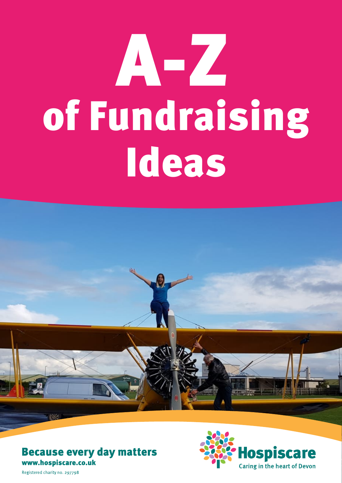## of Fundraising Ideas A-Z







Registered charity no. 297798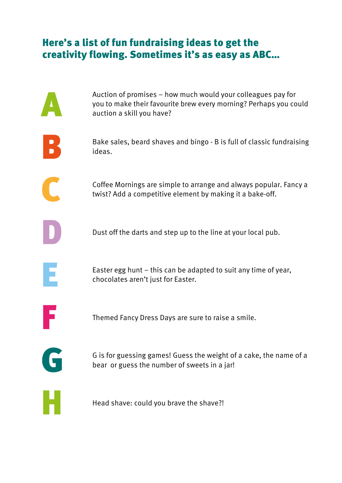## Here's a list of fun fundraising ideas to get the creativity flowing. Sometimes it's as easy as ABC…

|   | Auction of promises – how much would your colleagues pay for<br>you to make their favourite brew every morning? Perhaps you could<br>auction a skill you have? |
|---|----------------------------------------------------------------------------------------------------------------------------------------------------------------|
|   | Bake sales, beard shaves and bingo - B is full of classic fundraising<br>ideas.                                                                                |
|   | Coffee Mornings are simple to arrange and always popular. Fancy a<br>twist? Add a competitive element by making it a bake-off.                                 |
|   | Dust off the darts and step up to the line at your local pub.                                                                                                  |
| E | Easter egg hunt $-$ this can be adapted to suit any time of year,<br>chocolates aren't just for Easter.                                                        |
|   | Themed Fancy Dress Days are sure to raise a smile.                                                                                                             |
| G | G is for guessing games! Guess the weight of a cake, the name of a<br>bear or guess the number of sweets in a jar!                                             |
|   | Head shave: could you brave the shave?!                                                                                                                        |
|   |                                                                                                                                                                |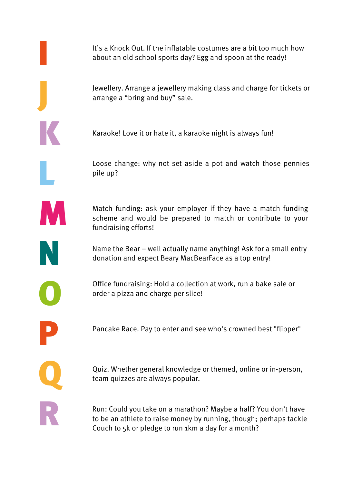It's a Knock Out. If the inflatable costumes are a bit too much how about an old school sports day? Egg and spoon at the ready!

Jewellery. Arrange a jewellery making class and charge for tickets or arrange a "bring and buy" sale.

Karaoke! Love it or hate it, a karaoke night is always fun!

Loose change: why not set aside a pot and watch those pennies pile up?

Match funding: ask your employer if they have a match funding scheme and would be prepared to match or contribute to your fundraising efforts!

Name the Bear – well actually name anything! Ask for a small entry donation and expect Beary MacBearFace as a top entry!

Office fundraising: Hold a collection at work, run a bake sale or order a pizza and charge per slice!

Pancake Race. Pay to enter and see who's crowned best "flipper"

P Q R

I

J

K

L

M

N

O

Quiz. Whether general knowledge or themed, online or in-person, team quizzes are always popular.

Run: Could you take on a marathon? Maybe a half? You don't have to be an athlete to raise money by running, though; perhaps tackle Couch to 5k or pledge to run 1km a day for a month?